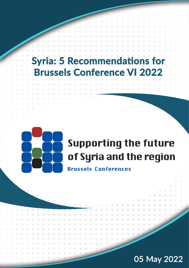## **Syria: 5 Recommendations for Brussels Conference VI 2022**



# **Supporting the future** of Syria and the region

**Brussels Conferences** 

### 05 May 2022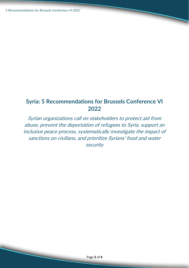$\overline{\phantom{0}}$ 

 $\overline{\phantom{0}}$ 

#### **Syria: 5 Recommendations for Brussels Conference VI 2022**

Syrian organizations call on stakeholders to protect aid from abuse, prevent the deportation of refugees to Syria, support an inclusive peace process, systematically investigate the impact of sanctions on civilians, and prioritize Syrians' food and water security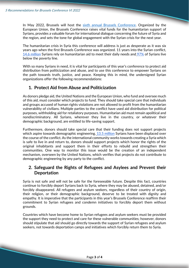In May 2022, Brussels will host the [sixth annual Brussels Conference.](https://www.eeas.europa.eu/eeas/brussels-vi-conference-supporting-future-syria-and-region_en#44889) Organized by the European Union, the Brussels Conference raises vital funds for the humanitarian support of Syrians, provides a valuable forum for international dialogue concerning the future of Syria and the region, and sets the tone for global engagement with the Syrian crisis for the next year.

The humanitarian crisis in Syria this conference will address is just as desperate as it was six years ago when the first Brussels Conference was organized. 11 years into the Syrian conflict[,](https://ec.europa.eu/echo/where/middle-east/syria_en#:~:text=According%20to%20the%20latest%20humanitarian,people%20urgently%20need%20humanitarian%20assistance.) [14.6 million](https://ec.europa.eu/echo/where/middle-east/syria_en#:~:text=According%20to%20the%20latest%20humanitarian,people%20urgently%20need%20humanitarian%20assistance.) Syrians rely on humanitarian aid to meet their daily needs and [97%](https://ec.europa.eu/echo/where/middle-east/syria_en#:~:text=According%20to%20the%20latest%20humanitarian,people%20urgently%20need%20humanitarian%20assistance.) of Syrians live below the poverty line.

With so many Syrians in need, it is vital for participants of this year's conference to protect aid distribution from politicization and abuse, and to use this conference to empower Syrians on the path towards truth, justice, and peace. Keeping this in mind, the undersigned Syrian organizations offer the following recommendations:

#### **1. Protect Aid from Abuse and Politicization**

As donors pledge aid, the United Nations and the European Union, who fund and oversee much of this aid, must consider which projects to fund. They should take special care that individuals and groups accused of human rights violations are not allowed to profit from the humanitarian vulnerability of civilians. Multiple parties to the conflict have used aid distribution for political purposes, withholding aid for retaliatory purposes. Humanitarian aid must remain apolitical and nondiscriminatory. All Syrians, wherever they live in the country, or whatever their demographic background, are entitled to life-saving support.

Furthermore, donors should take special care that their funding does not support projects which aspire towards demographic engineering. [13.5 million](https://www.worldvision.org/refugees-news-stories/syrian-refugee-crisis-facts) Syrians have been displaced over the course of the conflict. As the international community works towards creating a Syria which is safe to live in and return to, donors should support projects which honor the rights of the original inhabitants and support them in their efforts to rebuild and strengthen their communities. One way to monitor this issue would be the creation of an independent mechanism, overseen by the United Nations, which verifies that projects do not contribute to demographic engineering by any party to the conflict.

#### **2. Safeguard the Rights of Refugees and Asylees and Prevent their Deportation**

Syria is not safe and will not be safe for the foreseeable future. Despite this fact, countries continue to forcibly deport Syrians back to Syria, where they may be abused, detained, and/or forcibly disappeared. All refugees and asylum seekers, regardless of their country of origin, their religion, or their demographic background, deserve to be treated with dignity and empathy. It is imperative that the participants in this year's Brussels Conference reaffirm their commitment to Syrian refugees and condemn initiatives to forcibly deport them without grounds.

Countries which have become home to Syrian refugees and asylum seekers must be provided the support they need to protect and care for these vulnerable communities; however, donors should stipulate that aid should go directly towards the support of Syrian refugees and asylum seekers, not towards deportation camps and initiatives which forcibly return them to Syria.